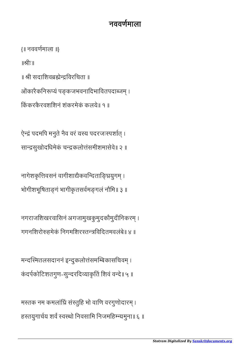## नववणमाला

{॥ नववणमाला ॥}

॥ीः॥

॥ श्री सदाशिवब्रह्मेन्द्रविरचिता ॥

ओंकारैकनिरूप्यं पङ्कजभवनादिभावितपदाब्जम् ।

किंकरकैरवशशिनं शंकरमेकं कलये॥ १ ॥

ऐन्द्रं पदमपि मनुते नैव वरं यस्य पदरजःस्पर्शात् । सासुखोदिधमेकं चकलोंसमीशमासेवे॥ २ ॥

नागेशकृत्तिवसनं वागीशाद्यैकवन्दिताङ्घ्रियुगम् । भोगीशभूषिताङ्गं भागीकृतसर्वमङ्गलं नौमि॥ ३ ॥

नगराजशिखरवासिनं अगजामुखकुमुदकौमुदीनिकरम् । गगनिशरोहमेकं िनगमिशरतिविदतमवलंबे॥ ४ ॥

मन्दस्मितलसदाननं इन्दुकलोत्तंसमम्बिकासचिवम् । कंदर्पकोटिशतगुण-सुन्दरदिव्याकृतिं शिवं वन्दे॥ ५ ॥

मस्तक नम कमलांध्रिं संस्तुहि भो वाणि वरगुणोदारम् । हस्तयुगार्चय शर्वं स्वस्थो निवसामि निजमहिम्न्यमुना॥ ६ ॥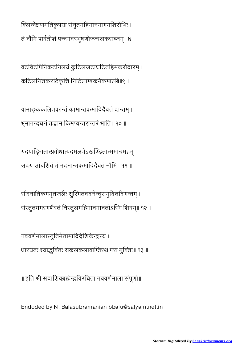क्लिन्नेक्षणमतिकृपया संनुतमहिमानमागमशिरोभिः । तं नौमि पार्वतीशं पन्नगवरभूषणोज्ज्वलकराब्जम्॥ ७ ॥

वटविटपिनिकटनिलयं कुटिलजटाघटितहिमकरोदारम् । कटिलसितकरटिकृत्तिं निटिलाम्बकमेकमालंबे॥९ ॥

वामाङ्ककलितकान्तं कामान्तकमादिदैवतं दान्तम् । भूमानन्दघनं तद्धाम किमप्यन्तरान्तरं भाति॥ १० ॥

यदपाङ्गितात्प्रबोधात्पदमलभेऽखण्डितात्ममात्रमहम् । सदयं सांबशिवं तं मदनान्तकमादिदैवतं नौमि॥ ११ ॥

सौस्नातिकममृतजलैः सुस्मितवदनेन्दुसमुदितदिगन्तम् । संस्तुतममरगणैस्तं निस्तुलमहिमानमानतोऽस्मि शिवम्॥ १२ ॥

नववर्णमालास्तुतिमेतामादिदेशिकेन्द्रस्य । धारयतः स्याद्भक्तिः सकलकलावाप्तिरथ परा मुक्तिः॥ १३ ॥

॥ इति श्री सदाशिवब्रह्मेन्द्रविरचिता नववर्णमाला संपूर्णा॥

Endoded by N. Balasubramanian bbalu@satyam.net.in